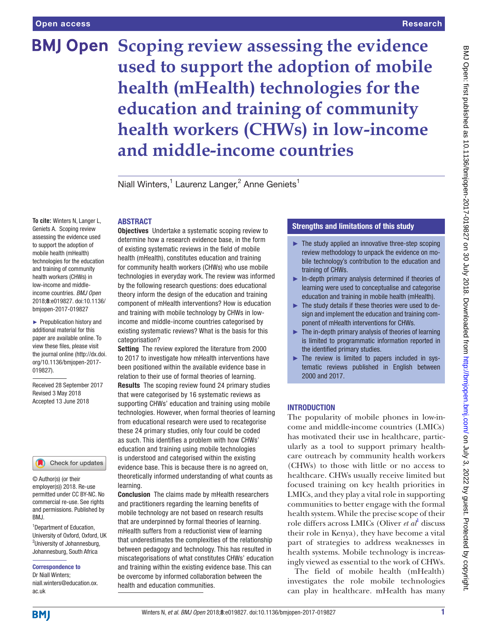### Research

# **BMJ Open** Scoping review assessing the evidence **used to support the adoption of mobile health (mHealth) technologies for the education and training of community health workers (CHWs) in low-income and middle-income countries**

Niall Winters,<sup>1</sup> Laurenz Langer,<sup>2</sup> Anne Geniets<sup>1</sup>

### **ABSTRACT**

**To cite:** Winters N, Langer L, Geniets A. Scoping review assessing the evidence used to support the adoption of mobile health (mHealth) technologies for the education and training of community health workers (CHWs) in low-income and middleincome countries. *BMJ Open* 2018;8:e019827. doi:10.1136/ bmjopen-2017-019827

► Prepublication history and additional material for this paper are available online. To view these files, please visit the journal online [\(http://dx.doi.](http://dx.doi.org/10.1136/bmjopen-2017-019827) [org/10.1136/bmjopen-2017-](http://dx.doi.org/10.1136/bmjopen-2017-019827) [019827\)](http://dx.doi.org/10.1136/bmjopen-2017-019827).

Received 28 September 2017 Revised 3 May 2018 Accepted 13 June 2018

#### Check for updates

© Author(s) (or their employer(s)) 2018. Re-use permitted under CC BY-NC. No commercial re-use. See rights and permissions. Published by BMJ.

1 Department of Education, University of Oxford, Oxford, UK <sup>2</sup>University of Johannesburg, Johannesburg, South Africa

#### Correspondence to

Dr Niall Winters; niall.winters@education.ox. ac.uk

**Objectives** Undertake a systematic scoping review to determine how a research evidence base, in the form of existing systematic reviews in the field of mobile health (mHealth), constitutes education and training for community health workers (CHWs) who use mobile technologies in everyday work. The review was informed by the following research questions: does educational theory inform the design of the education and training component of mHealth interventions? How is education and training with mobile technology by CHWs in lowincome and middle-income countries categorised by existing systematic reviews? What is the basis for this categorisation?

Setting The review explored the literature from 2000 to 2017 to investigate how mHealth interventions have been positioned within the available evidence base in relation to their use of formal theories of learning. Results The scoping review found 24 primary studies that were categorised by 16 systematic reviews as supporting CHWs' education and training using mobile technologies. However, when formal theories of learning from educational research were used to recategorise these 24 primary studies, only four could be coded as such. This identifies a problem with how CHWs' education and training using mobile technologies is understood and categorised within the existing evidence base. This is because there is no agreed on, theoretically informed understanding of what counts as learning.

Conclusion The claims made by mHealth researchers and practitioners regarding the learning benefits of mobile technology are not based on research results that are underpinned by formal theories of learning. mHealth suffers from a reductionist view of learning that underestimates the complexities of the relationship between pedagogy and technology. This has resulted in miscategorisations of what constitutes CHWs' education and training within the existing evidence base. This can be overcome by informed collaboration between the health and education communities.

## Strengths and limitations of this study

- ► The study applied an innovative three-step scoping review methodology to unpack the evidence on mobile technology's contribution to the education and training of CHWs.
- ► In-depth primary analysis determined if theories of learning were used to conceptualise and categorise education and training in mobile health (mHealth).
- ► The study details if these theories were used to design and implement the education and training component of mHealth interventions for CHWs.
- $\blacktriangleright$  The in-depth primary analysis of theories of learning is limited to programmatic information reported in the identified primary studies.
- ► The review is limited to papers included in systematic reviews published in English between 2000 and 2017.

## **INTRODUCTION**

The popularity of mobile phones in low-income and middle-income countries (LMICs) has motivated their use in healthcare, particularly as a tool to support primary healthcare outreach by community health workers (CHWs) to those with little or no access to healthcare. CHWs usually receive limited but focused training on key health priorities in LMICs, and they play a vital role in supporting communities to better engage with the formal health system. While the precise scope of their role differs across LMICs (Oliver *et al*<sup>[1](#page-8-0)</sup> discuss their role in Kenya), they have become a vital part of strategies to address weaknesses in health systems. Mobile technology is increasingly viewed as essential to the work of CHWs.

The field of mobile health (mHealth) investigates the role mobile technologies can play in healthcare. mHealth has many

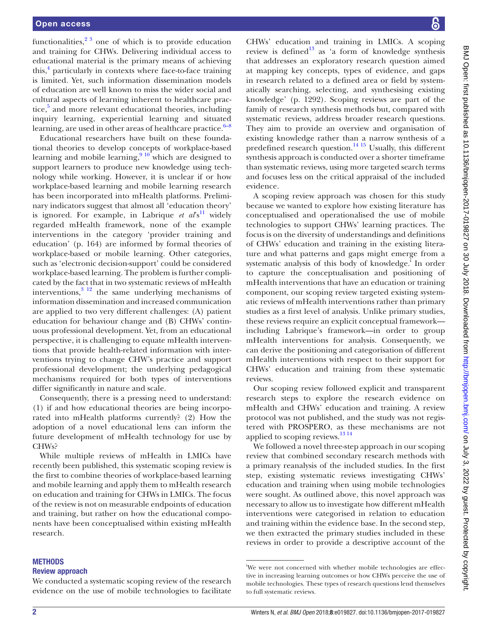functionalities,  $2^3$  one of which is to provide education and training for CHWs. Delivering individual access to educational material is the primary means of achieving this,<sup>[4](#page-8-2)</sup> particularly in contexts where face-to-face training is limited. Yet, such information dissemination models of education are well known to miss the wider social and cultural aspects of learning inherent to healthcare prac-tice,<sup>[5](#page-8-3)</sup> and more relevant educational theories, including inquiry learning, experiential learning and situated learning, are used in other areas of healthcare practice. $6-8$ 

Educational researchers have built on these foundational theories to develop concepts of workplace-based learning and mobile learning,<sup>9 10</sup> which are designed to support learners to produce new knowledge using technology while working. However, it is unclear if or how workplace-based learning and mobile learning research has been incorporated into mHealth platforms. Preliminary indicators suggest that almost all 'education theory' is ignored. For example, in Labrique  $et \, als^{11}$  $et \, als^{11}$  $et \, als^{11}$  widely regarded mHealth framework, none of the example interventions in the category 'provider training and education' (p. 164) are informed by formal theories of workplace-based or mobile learning. Other categories, such as 'electronic decision-support' could be considered workplace-based learning. The problem is further complicated by the fact that in two systematic reviews of mHealth interventions, $3^{12}$  the same underlying mechanisms of information dissemination and increased communication are applied to two very different challenges: (A) patient education for behaviour change and (B) CHWs' continuous professional development. Yet, from an educational perspective, it is challenging to equate mHealth interventions that provide health-related information with interventions trying to change CHW's practice and support professional development; the underlying pedagogical mechanisms required for both types of interventions differ significantly in nature and scale.

Consequently, there is a pressing need to understand: (1) if and how educational theories are being incorporated into mHealth platforms currently? (2) How the adoption of a novel educational lens can inform the future development of mHealth technology for use by CHWs?

While multiple reviews of mHealth in LMICs have recently been published, this systematic scoping review is the first to combine theories of workplace-based learning and mobile learning and apply them to mHealth research on education and training for CHWs in LMICs. The focus of the review is not on measurable endpoints of education and training, but rather on how the educational components have been conceptualised within existing mHealth research.

## **METHODS**

#### Review approach

We conducted a systematic scoping review of the research evidence on the use of mobile technologies to facilitate

CHWs' education and training in LMICs. A scoping review is defined<sup>13</sup> as 'a form of knowledge synthesis that addresses an exploratory research question aimed at mapping key concepts, types of evidence, and gaps in research related to a defined area or field by systematically searching, selecting, and synthesising existing knowledge' (p. 1292). Scoping reviews are part of the family of research synthesis methods but, compared with systematic reviews, address broader research questions. They aim to provide an overview and organisation of existing knowledge rather than a narrow synthesis of a predefined research question. $1415$  Usually, this different synthesis approach is conducted over a shorter timeframe than systematic reviews, using more targeted search terms and focuses less on the critical appraisal of the included evidence.

A scoping review approach was chosen for this study because we wanted to explore how existing literature has conceptualised and operationalised the use of mobile technologies to support CHWs' learning practices. The focus is on the diversity of understandings and definitions of CHWs' education and training in the existing literature and what patterns and gaps might emerge from a systematic analysis of this body of knowledge.<sup>I</sup> In order to capture the conceptualisation and positioning of mHealth interventions that have an education or training component, our scoping review targeted existing systematic reviews of mHealth interventions rather than primary studies as a first level of analysis. Unlike primary studies, these reviews require an explicit conceptual framework including Labrique's framework—in order to group mHealth interventions for analysis. Consequently, we can derive the positioning and categorisation of different mHealth interventions with respect to their support for CHWs' education and training from these systematic reviews.

Our scoping review followed explicit and transparent research steps to explore the research evidence on mHealth and CHWs' education and training. A review protocol was not published, and the study was not registered with PROSPERO, as these mechanisms are not applied to scoping reviews.<sup>13 14</sup>

We followed a novel three-step approach in our scoping review that combined secondary research methods with a primary reanalysis of the included studies. In the first step, existing systematic reviews investigating CHWs' education and training when using mobile technologies were sought. As outlined above, this novel approach was necessary to allow us to investigate how different mHealth interventions were categorised in relation to education and training within the evidence base. In the second step, we then extracted the primary studies included in these reviews in order to provide a descriptive account of the

<sup>&</sup>lt;sup>i</sup>We were not concerned with whether mobile technologies are effective in increasing learning outcomes or how CHWs perceive the use of mobile technologies. These types of research questions lend themselves to full systematic reviews.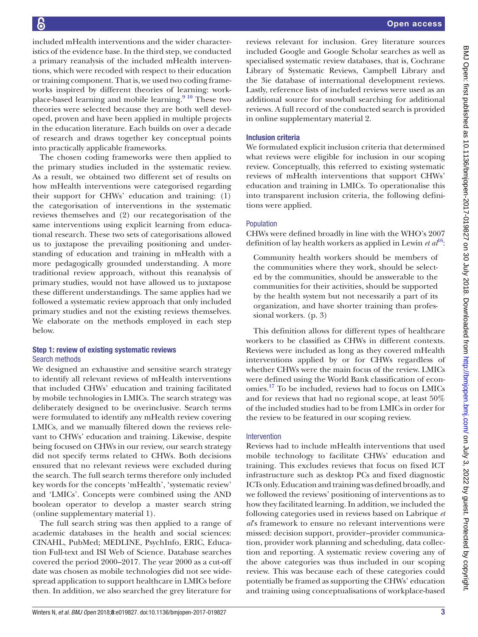Open access

included mHealth interventions and the wider characteristics of the evidence base. In the third step, we conducted a primary reanalysis of the included mHealth interventions, which were recoded with respect to their education or training component. That is, we used two coding frameworks inspired by different theories of learning: work-place-based learning and mobile learning.<sup>[9 10](#page-8-5)</sup> These two theories were selected because they are both well developed, proven and have been applied in multiple projects in the education literature. Each builds on over a decade of research and draws together key conceptual points into practically applicable frameworks.

The chosen coding frameworks were then applied to the primary studies included in the systematic review. As a result, we obtained two different set of results on how mHealth interventions were categorised regarding their support for CHWs' education and training: (1) the categorisation of interventions in the systematic reviews themselves and (2) our recategorisation of the same interventions using explicit learning from educational research. These two sets of categorisations allowed us to juxtapose the prevailing positioning and understanding of education and training in mHealth with a more pedagogically grounded understanding. A more traditional review approach, without this reanalysis of primary studies, would not have allowed us to juxtapose these different understandings. The same applies had we followed a systematic review approach that only included primary studies and not the existing reviews themselves. We elaborate on the methods employed in each step below.

## Step 1: review of existing systematic reviews Search methods

We designed an exhaustive and sensitive search strategy to identify all relevant reviews of mHealth interventions that included CHWs' education and training facilitated by mobile technologies in LMICs. The search strategy was deliberately designed to be overinclusive. Search terms were formulated to identify any mHealth review covering LMICs, and we manually filtered down the reviews relevant to CHWs' education and training. Likewise, despite being focused on CHWs in our review, our search strategy did not specify terms related to CHWs. Both decisions ensured that no relevant reviews were excluded during the search. The full search terms therefore only included key words for the concepts 'mHealth', 'systematic review' and 'LMICs'. Concepts were combined using the AND boolean operator to develop a master search string (online [supplementary material 1\)](https://dx.doi.org/10.1136/bmjopen-2017-019827).

The full search string was then applied to a range of academic databases in the health and social sciences: CINAHL, PubMed; MEDLINE, PsychInfo, ERIC, Education Full-text and ISI Web of Science. Database searches covered the period 2000–2017. The year 2000 as a cut-off date was chosen as mobile technologies did not see widespread application to support healthcare in LMICs before then. In addition, we also searched the grey literature for

reviews relevant for inclusion. Grey literature sources included Google and Google Scholar searches as well as specialised systematic review databases, that is, Cochrane Library of Systematic Reviews, Campbell Library and the 3ie database of international development reviews. Lastly, reference lists of included reviews were used as an additional source for snowball searching for additional reviews. A full record of the conducted search is provided in online [supplementary material 2](https://dx.doi.org/10.1136/bmjopen-2017-019827).

## Inclusion criteria

We formulated explicit inclusion criteria that determined what reviews were eligible for inclusion in our scoping review. Conceptually, this referred to existing systematic reviews of mHealth interventions that support CHWs' education and training in LMICs. To operationalise this into transparent inclusion criteria, the following definitions were applied.

## Population

CHWs were defined broadly in line with the WHO's 2007 definition of lay health workers as applied in Lewin *et al*<sup>[16](#page-8-10)</sup>:

Community health workers should be members of the communities where they work, should be selected by the communities, should be answerable to the communities for their activities, should be supported by the health system but not necessarily a part of its organization, and have shorter training than professional workers. (p. 3)

This definition allows for different types of healthcare workers to be classified as CHWs in different contexts. Reviews were included as long as they covered mHealth interventions applied by or for CHWs regardless of whether CHWs were the main focus of the review. LMICs were defined using the World Bank classification of economies.<sup>17</sup> To be included, reviews had to focus on LMICs and for reviews that had no regional scope, at least 50% of the included studies had to be from LMICs in order for the review to be featured in our scoping review.

## Intervention

Reviews had to include mHealth interventions that used mobile technology to facilitate CHWs' education and training. This excludes reviews that focus on fixed ICT infrastructure such as desktop PCs and fixed diagnostic ICTs only. Education and training was defined broadly, and we followed the reviews' positioning of interventions as to how they facilitated learning. In addition, we included the following categories used in reviews based on Labrique *et al*'s framework to ensure no relevant interventions were missed: decision support, provider–provider communication, provider work planning and scheduling, data collection and reporting. A systematic review covering any of the above categories was thus included in our scoping review. This was because each of these categories could potentially be framed as supporting the CHWs' education and training using conceptualisations of workplace-based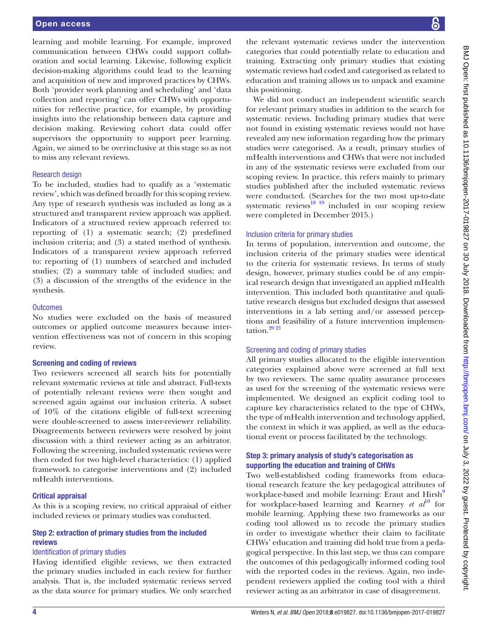learning and mobile learning. For example, improved communication between CHWs could support collaboration and social learning. Likewise, following explicit decision-making algorithms could lead to the learning and acquisition of new and improved practices by CHWs. Both 'provider work planning and scheduling' and 'data collection and reporting' can offer CHWs with opportunities for reflective practice, for example, by providing insights into the relationship between data capture and decision making. Reviewing cohort data could offer supervisors the opportunity to support peer learning. Again, we aimed to be overinclusive at this stage so as not to miss any relevant reviews.

#### Research design

To be included, studies had to qualify as a 'systematic review', which was defined broadly for this scoping review. Any type of research synthesis was included as long as a structured and transparent review approach was applied. Indicators of a structured review approach referred to: reporting of (1) a systematic search; (2) predefined inclusion criteria; and (3) a stated method of synthesis. Indicators of a transparent review approach referred to: reporting of (1) numbers of searched and included studies; (2) a summary table of included studies; and (3) a discussion of the strengths of the evidence in the synthesis.

#### **Outcomes**

No studies were excluded on the basis of measured outcomes or applied outcome measures because intervention effectiveness was not of concern in this scoping review.

#### Screening and coding of reviews

Two reviewers screened all search hits for potentially relevant systematic reviews at title and abstract. Full-texts of potentially relevant reviews were then sought and screened again against our inclusion criteria. A subset of 10% of the citations eligible of full-text screening were double-screened to assess inter-reviewer reliability. Disagreements between reviewers were resolved by joint discussion with a third reviewer acting as an arbitrator. Following the screening, included systematic reviews were then coded for two high-level characteristics: (1) applied framework to categorise interventions and (2) included mHealth interventions.

### Critical appraisal

As this is a scoping review, no critical appraisal of either included reviews or primary studies was conducted.

## Step 2: extraction of primary studies from the included reviews

#### Identification of primary studies

Having identified eligible reviews, we then extracted the primary studies included in each review for further analysis. That is, the included systematic reviews served as the data source for primary studies. We only searched the relevant systematic reviews under the intervention categories that could potentially relate to education and training. Extracting only primary studies that existing systematic reviews had coded and categorised as related to education and training allows us to unpack and examine this positioning.

We did not conduct an independent scientific search for relevant primary studies in addition to the search for systematic reviews. Including primary studies that were not found in existing systematic reviews would not have revealed any new information regarding how the primary studies were categorised. As a result, primary studies of mHealth interventions and CHWs that were not included in any of the systematic reviews were excluded from our scoping review. In practice, this refers mainly to primary studies published after the included systematic reviews were conducted. (Searches for the two most up-to-date systematic reviews $^{18}$  <sup>19</sup> included in our scoping review were completed in December 2015.)

## Inclusion criteria for primary studies

In terms of population, intervention and outcome, the inclusion criteria of the primary studies were identical to the criteria for systematic reviews. In terms of study design, however, primary studies could be of any empirical research design that investigated an applied mHealth intervention. This included both quantitative and qualitative research designs but excluded designs that assessed interventions in a lab setting and/or assessed perceptions and feasibility of a future intervention implemen-tation.<sup>[20 21](#page-9-1)</sup>

## Screening and coding of primary studies

All primary studies allocated to the eligible intervention categories explained above were screened at full text by two reviewers. The same quality assurance processes as used for the screening of the systematic reviews were implemented. We designed an explicit coding tool to capture key characteristics related to the type of CHWs, the type of mHealth intervention and technology applied, the context in which it was applied, as well as the educational event or process facilitated by the technology.

## Step 3: primary analysis of study's categorisation as supporting the education and training of CHWs

Two well-established coding frameworks from educational research feature the key pedagogical attributes of workplace-based and mobile learning: Eraut and Hirsh<sup>9</sup> for workplace-based learning and Kearney *et al*<sup>[10](#page-8-12)</sup> for mobile learning. Applying these two frameworks as our coding tool allowed us to recode the primary studies in order to investigate whether their claim to facilitate CHWs' education and training did hold true from a pedagogical perspective. In this last step, we thus can compare the outcomes of this pedagogically informed coding tool with the reported codes in the reviews. Again, two independent reviewers applied the coding tool with a third reviewer acting as an arbitrator in case of disagreement.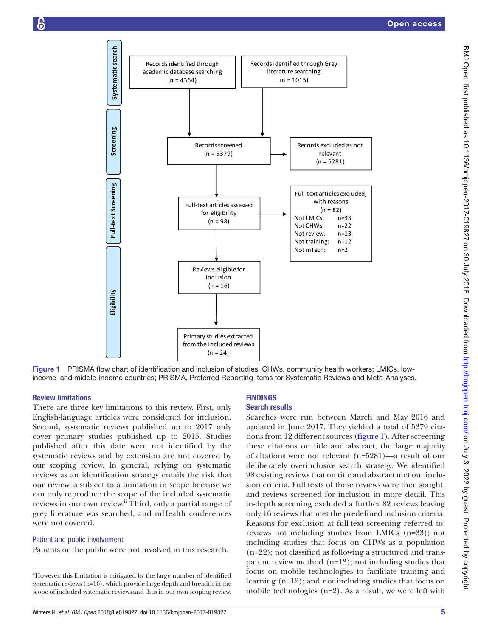

Figure 1 PRISMA flow chart of identification and inclusion of studies. CHWs, community health workers; LMICs, lowincome and middle-income countries; PRISMA, Preferred Reporting Items for Systematic Reviews and Meta-Analyses.

## Review limitations

There are three key limitations to this review. First, only English-language articles were considered for inclusion. Second, systematic reviews published up to 2017 only cover primary studies published up to 2015. Studies published after this date were not identified by the systematic reviews and by extension are not covered by our scoping review. In general, relying on systematic reviews as an identification strategy entails the risk that our review is subject to a limitation in scope because we can only reproduce the scope of the included systematic reviews in our own review.<sup>ii</sup> Third, only a partial range of grey literature was searched, and mHealth conferences were not covered.

### Patient and public involvement

Patients or the public were not involved in this research.

## <span id="page-4-0"></span>**FINDINGS**

## Search results

Searches were run between March and May 2016 and updated in June 2017. They yielded a total of 5379 citations from 12 different sources ([figure](#page-4-0) 1). After screening these citations on title and abstract, the large majority of citations were not relevant (n=5281)—a result of our deliberately overinclusive search strategy. We identified 98 existing reviews that on title and abstract met our inclusion criteria. Full texts of these reviews were then sought, and reviews screened for inclusion in more detail. This in-depth screening excluded a further 82 reviews leaving only 16 reviews that met the predefined inclusion criteria. Reasons for exclusion at full-text screening referred to: reviews not including studies from LMICs (n=33); not including studies that focus on CHWs as a population (n=22); not classified as following a structured and transparent review method (n=13); not including studies that focus on mobile technologies to facilitate training and learning (n=12); and not including studies that focus on mobile technologies (n=2). As a result, we were left with

<sup>&</sup>lt;sup>ii</sup>However, this limitation is mitigated by the large number of identified systematic reviews (n=16), which provide large depth and breadth in the scope of included systematic reviews and thus in our own scoping review.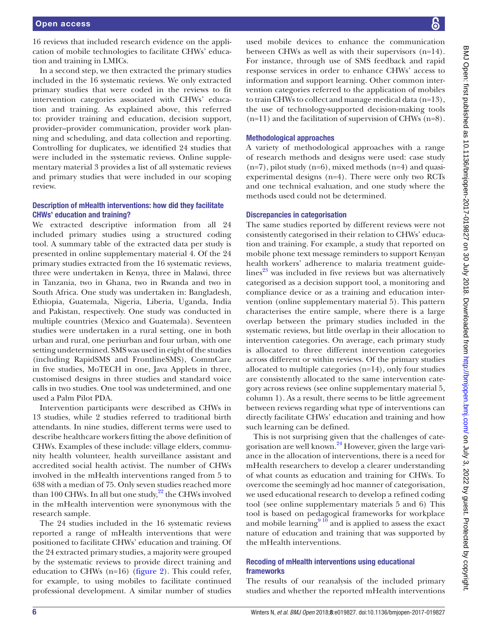16 reviews that included research evidence on the application of mobile technologies to facilitate CHWs' education and training in LMICs.

In a second step, we then extracted the primary studies included in the 16 systematic reviews. We only extracted primary studies that were coded in the reviews to fit intervention categories associated with CHWs' education and training. As explained above, this referred to: provider training and education, decision support, provider–provider communication, provider work planning and scheduling, and data collection and reporting. Controlling for duplicates, we identified 24 studies that were included in the systematic reviews. Online [supple](https://dx.doi.org/10.1136/bmjopen-2017-019827)[mentary material 3](https://dx.doi.org/10.1136/bmjopen-2017-019827) provides a list of all systematic reviews and primary studies that were included in our scoping review.

## Description of mHealth interventions: how did they facilitate CHWs' education and training?

We extracted descriptive information from all 24 included primary studies using a structured coding tool. A summary table of the extracted data per study is presented in online [supplementary material 4](https://dx.doi.org/10.1136/bmjopen-2017-019827). Of the 24 primary studies extracted from the 16 systematic reviews, three were undertaken in Kenya, three in Malawi, three in Tanzania, two in Ghana, two in Rwanda and two in South Africa. One study was undertaken in: Bangladesh, Ethiopia, Guatemala, Nigeria, Liberia, Uganda, India and Pakistan, respectively. One study was conducted in multiple countries (Mexico and Guatemala). Seventeen studies were undertaken in a rural setting, one in both urban and rural, one periurban and four urban, with one setting undetermined. SMS was used in eight of the studies (including RapidSMS and FrontlineSMS), CommCare in five studies, MoTECH in one, Java Applets in three, customised designs in three studies and standard voice calls in two studies. One tool was undetermined, and one used a Palm Pilot PDA.

Intervention participants were described as CHWs in 13 studies, while 2 studies referred to traditional birth attendants. In nine studies, different terms were used to describe healthcare workers fitting the above definition of CHWs. Examples of these include: village elders, community health volunteer, health surveillance assistant and accredited social health activist. The number of CHWs involved in the mHealth interventions ranged from 5 to 638 with a median of 75. Only seven studies reached more than 100 CHWs. In all but one study, $22$  the CHWs involved in the mHealth intervention were synonymous with the research sample.

The 24 studies included in the 16 systematic reviews reported a range of mHealth interventions that were positioned to facilitate CHWs' education and training. Of the 24 extracted primary studies, a majority were grouped by the systematic reviews to provide direct training and education to CHWs (n=16) [\(figure](#page-6-0) 2). This could refer, for example, to using mobiles to facilitate continued professional development. A similar number of studies

used mobile devices to enhance the communication between CHWs as well as with their supervisors (n=14). For instance, through use of SMS feedback and rapid response services in order to enhance CHWs' access to information and support learning. Other common intervention categories referred to the application of mobiles to train CHWs to collect and manage medical data (n=13), the use of technology-supported decision-making tools (n=11) and the facilitation of supervision of CHWs (n=8).

#### Methodological approaches

A variety of methodological approaches with a range of research methods and designs were used: case study  $(n=7)$ , pilot study  $(n=6)$ , mixed methods  $(n=4)$  and quasiexperimental designs (n=4). There were only two RCTs and one technical evaluation, and one study where the methods used could not be determined.

#### Discrepancies in categorisation

The same studies reported by different reviews were not consistently categorised in their relation to CHWs' education and training. For example, a study that reported on mobile phone text message reminders to support Kenyan health workers' adherence to malaria treatment guidelines $^{23}$  was included in five reviews but was alternatively categorised as a decision support tool, a monitoring and compliance device or as a training and education intervention (online [supplementary material 5\)](https://dx.doi.org/10.1136/bmjopen-2017-019827). This pattern characterises the entire sample, where there is a large overlap between the primary studies included in the systematic reviews, but little overlap in their allocation to intervention categories. On average, each primary study is allocated to three different intervention categories across different or within reviews. Of the primary studies allocated to multiple categories (n=14), only four studies are consistently allocated to the same intervention category across reviews (see online [supplementary material 5,](https://dx.doi.org/10.1136/bmjopen-2017-019827)  [column 1](https://dx.doi.org/10.1136/bmjopen-2017-019827)). As a result, there seems to be little agreement between reviews regarding what type of interventions can directly facilitate CHWs' education and training and how such learning can be defined.

This is not surprising given that the challenges of categorisation are well known.[24](#page-9-4) However, given the large variance in the allocation of interventions, there is a need for mHealth researchers to develop a clearer understanding of what counts as education and training for CHWs. To overcome the seemingly ad hoc manner of categorisation, we used educational research to develop a refined coding tool (see online [supplementary materials 5 and 6\)](https://dx.doi.org/10.1136/bmjopen-2017-019827) This tool is based on pedagogical frameworks for workplace and mobile learning $9^{10}$  and is applied to assess the exact nature of education and training that was supported by the mHealth interventions.

## Recoding of mHealth interventions using educational frameworks

The results of our reanalysis of the included primary studies and whether the reported mHealth interventions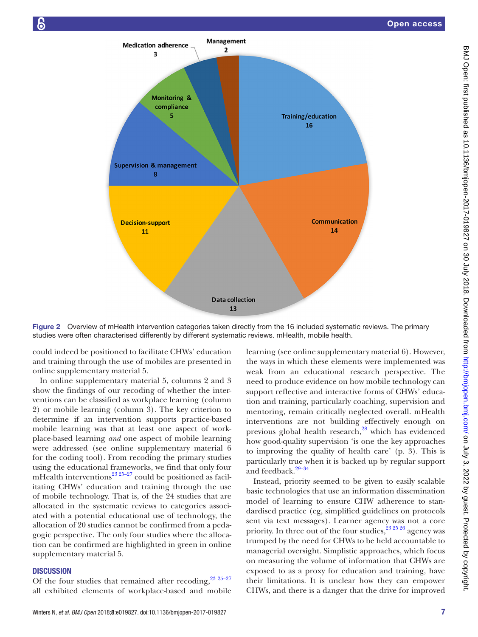

Figure 2 Overview of mHealth intervention categories taken directly from the 16 included systematic reviews. The primary studies were often characterised differently by different systematic reviews. mHealth, mobile health.

could indeed be positioned to facilitate CHWs' education and training through the use of mobiles are presented in online [supplementary material 5](https://dx.doi.org/10.1136/bmjopen-2017-019827).

In online [supplementary material 5, columns 2 and 3](https://dx.doi.org/10.1136/bmjopen-2017-019827) show the findings of our recoding of whether the interventions can be classified as workplace learning (column 2) or mobile learning (column 3). The key criterion to determine if an intervention supports practice-based mobile learning was that at least one aspect of workplace-based learning *and* one aspect of mobile learning were addressed (see online [supplementary material 6](https://dx.doi.org/10.1136/bmjopen-2017-019827) for the coding tool). From recoding the primary studies using the educational frameworks, we find that only four mHealth interventions<sup>23 25-27</sup> could be positioned as facilitating CHWs' education and training through the use of mobile technology. That is, of the 24 studies that are allocated in the systematic reviews to categories associated with a potential educational use of technology, the allocation of 20 studies cannot be confirmed from a pedagogic perspective. The only four studies where the allocation can be confirmed are highlighted in green in online [supplementary material 5.](https://dx.doi.org/10.1136/bmjopen-2017-019827)

### **DISCUSSION**

Of the four studies that remained after recoding,  $23\frac{25-27}{25}$ all exhibited elements of workplace-based and mobile

<span id="page-6-0"></span>learning (see online [supplementary material 6\)](https://dx.doi.org/10.1136/bmjopen-2017-019827). However, the ways in which these elements were implemented was weak from an educational research perspective. The need to produce evidence on how mobile technology can support reflective and interactive forms of CHWs' education and training, particularly coaching, supervision and mentoring, remain critically neglected overall. mHealth interventions are not building effectively enough on previous global health research,<sup>28</sup> which has evidenced how good-quality supervision 'is one the key approaches to improving the quality of health care' (p. 3). This is particularly true when it is backed up by regular support and feedback. $29-34$ 

Instead, priority seemed to be given to easily scalable basic technologies that use an information dissemination model of learning to ensure CHW adherence to standardised practice (eg, simplified guidelines on protocols sent via text messages). Learner agency was not a core priority. In three out of the four studies,<sup>23 25 26</sup> agency was trumped by the need for CHWs to be held accountable to managerial oversight. Simplistic approaches, which focus on measuring the volume of information that CHWs are exposed to as a proxy for education and training, have their limitations. It is unclear how they can empower CHWs, and there is a danger that the drive for improved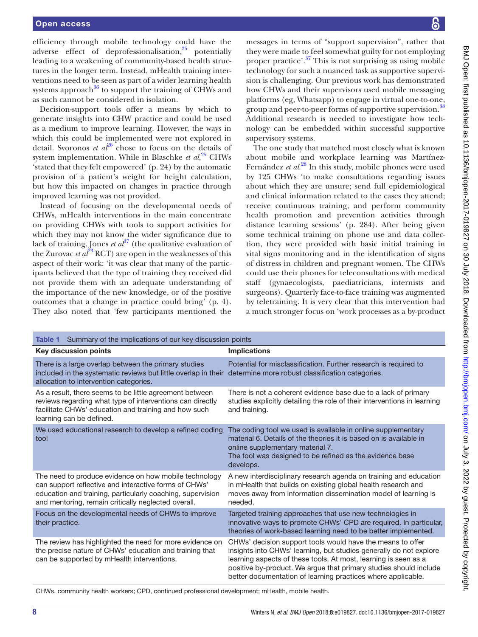efficiency through mobile technology could have the adverse effect of deprofessionalisation, $35$  potentially leading to a weakening of community-based health structures in the longer term. Instead, mHealth training interventions need to be seen as part of a wider learning health systems approach $36$  to support the training of CHWs and as such cannot be considered in isolation.

Decision-support tools offer a means by which to generate insights into CHW practice and could be used as a medium to improve learning. However, the ways in which this could be implemented were not explored in detail. Svoronos *et al*<sup>[26](#page-9-9)</sup> chose to focus on the details of system implementation. While in Blaschke *et al*, [25](#page-9-10) CHWs 'stated that they felt empowered' (p. 24) by the automatic provision of a patient's weight for height calculation, but how this impacted on changes in practice through improved learning was not provided.

Instead of focusing on the developmental needs of CHWs, mHealth interventions in the main concentrate on providing CHWs with tools to support activities for which they may not know the wider significance due to lack of training. Jones *et*  $a^{\delta^7}$  (the qualitative evaluation of the Zurovac *et a* $l^{23}$  $l^{23}$  $l^{23}$  RCT) are open in the weaknesses of this aspect of their work: 'it was clear that many of the participants believed that the type of training they received did not provide them with an adequate understanding of the importance of the new knowledge, or of the positive outcomes that a change in practice could bring' (p. 4). They also noted that 'few participants mentioned the

messages in terms of "support supervision", rather that they were made to feel somewhat guilty for not employing proper practice'.[37](#page-9-11) This is not surprising as using mobile technology for such a nuanced task as supportive supervision is challenging. Our previous work has demonstrated how CHWs and their supervisors used mobile messaging platforms (eg, Whatsapp) to engage in virtual one-to-one, group and peer-to-peer forms of supportive supervision.<sup>[38](#page-9-12)</sup> Additional research is needed to investigate how technology can be embedded within successful supportive supervisory systems.

The one study that matched most closely what is known about mobile and workplace learning was Martínez-Fernández et al.<sup>[28](#page-9-5)</sup> In this study, mobile phones were used by 125 CHWs 'to make consultations regarding issues about which they are unsure; send full epidemiological and clinical information related to the cases they attend; receive continuous training, and perform community health promotion and prevention activities through distance learning sessions' (p. 284). After being given some technical training on phone use and data collection, they were provided with basic initial training in vital signs monitoring and in the identification of signs of distress in children and pregnant women. The CHWs could use their phones for teleconsultations with medical staff (gynaecologists, paediatricians, internists and surgeons). Quarterly face-to-face training was augmented by teletraining. It is very clear that this intervention had a much stronger focus on 'work processes as a by-product

<span id="page-7-0"></span>

| Summary of the implications of our key discussion points<br>Table 1                                                                                                                                                                 |                                                                                                                                                                                                                                                                                                                                          |
|-------------------------------------------------------------------------------------------------------------------------------------------------------------------------------------------------------------------------------------|------------------------------------------------------------------------------------------------------------------------------------------------------------------------------------------------------------------------------------------------------------------------------------------------------------------------------------------|
| <b>Key discussion points</b>                                                                                                                                                                                                        | <b>Implications</b>                                                                                                                                                                                                                                                                                                                      |
| There is a large overlap between the primary studies<br>included in the systematic reviews but little overlap in their<br>allocation to intervention categories.                                                                    | Potential for misclassification. Further research is required to<br>determine more robust classification categories.                                                                                                                                                                                                                     |
| As a result, there seems to be little agreement between<br>reviews regarding what type of interventions can directly<br>facilitate CHWs' education and training and how such<br>learning can be defined.                            | There is not a coherent evidence base due to a lack of primary<br>studies explicitly detailing the role of their interventions in learning<br>and training.                                                                                                                                                                              |
| We used educational research to develop a refined coding<br>tool                                                                                                                                                                    | The coding tool we used is available in online supplementary<br>material 6. Details of the theories it is based on is available in<br>online supplementary material 7.<br>The tool was designed to be refined as the evidence base<br>develops.                                                                                          |
| The need to produce evidence on how mobile technology<br>can support reflective and interactive forms of CHWs'<br>education and training, particularly coaching, supervision<br>and mentoring, remain critically neglected overall. | A new interdisciplinary research agenda on training and education<br>in mHealth that builds on existing global health research and<br>moves away from information dissemination model of learning is<br>needed.                                                                                                                          |
| Focus on the developmental needs of CHWs to improve<br>their practice.                                                                                                                                                              | Targeted training approaches that use new technologies in<br>innovative ways to promote CHWs' CPD are required. In particular,<br>theories of work-based learning need to be better implemented.                                                                                                                                         |
| The review has highlighted the need for more evidence on<br>the precise nature of CHWs' education and training that<br>can be supported by mHealth interventions.                                                                   | CHWs' decision support tools would have the means to offer<br>insights into CHWs' learning, but studies generally do not explore<br>learning aspects of these tools. At most, learning is seen as a<br>positive by-product. We argue that primary studies should include<br>better documentation of learning practices where applicable. |

CHWs, community health workers; CPD, continued professional development; mHealth, mobile health.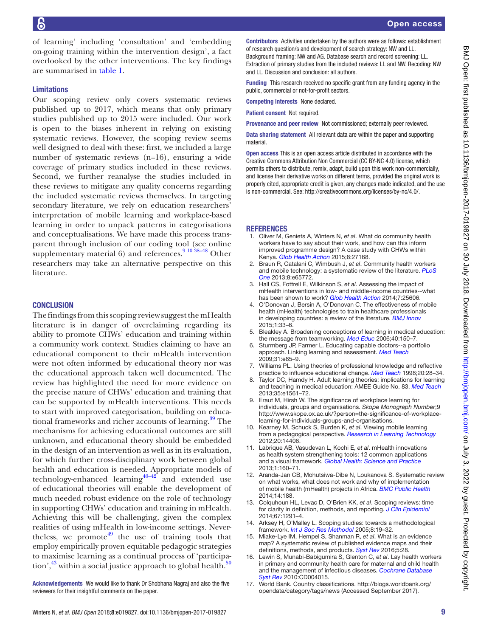of learning' including 'consultation' and 'embedding on-going training within the intervention design', a fact overlooked by the other interventions. The key findings are summarised in [table](#page-7-0) 1.

#### Limitations

Our scoping review only covers systematic reviews published up to 2017, which means that only primary studies published up to 2015 were included. Our work is open to the biases inherent in relying on existing systematic reviews. However, the scoping review seems well designed to deal with these: first, we included a large number of systematic reviews (n=16), ensuring a wide coverage of primary studies included in these reviews. Second, we further reanalyse the studies included in these reviews to mitigate any quality concerns regarding the included systematic reviews themselves. In targeting secondary literature, we rely on education researchers' interpretation of mobile learning and workplace-based learning in order to unpack patterns in categorisations and conceptualisations. We have made this process transparent through inclusion of our coding tool (see online [supplementary material 6\)](https://dx.doi.org/10.1136/bmjopen-2017-019827) and references.<sup>9 10 38-48</sup> Other researchers may take an alternative perspective on this literature.

#### **CONCLUSION**

The findings from this scoping review suggest the mHealth literature is in danger of overclaiming regarding its ability to promote CHWs' education and training within a community work context. Studies claiming to have an educational component to their mHealth intervention were not often informed by educational theory nor was the educational approach taken well documented. The review has highlighted the need for more evidence on the precise nature of CHWs' education and training that can be supported by mHealth interventions. This needs to start with improved categorisation, building on educational frameworks and richer accounts of learning.<sup>39</sup> The mechanisms for achieving educational outcomes are still unknown, and educational theory should be embedded in the design of an intervention as well as in its evaluation, for which further cross-disciplinary work between global health and education is needed. Appropriate models of technology-enhanced learning<sup>[40–42](#page-9-14)</sup> and extended use of educational theories will enable the development of much needed robust evidence on the role of technology in supporting CHWs' education and training in mHealth. Achieving this will be challenging, given the complex realities of using mHealth in low-income settings. Nevertheless, we promote<sup>49</sup> the use of training tools that employ empirically proven equitable pedagogic strategies to maximise learning as a continual process of 'participation', $^{43}$  within a social justice approach to global health. $^{50}$ 

Acknowledgements We would like to thank Dr Shobhana Nagraj and also the five reviewers for their insightful comments on the paper.

Contributors Activities undertaken by the authors were as follows: establishment of research question/s and development of search strategy: NW and LL. Background framing: NW and AG. Database search and record screening: LL. Extraction of primary studies from the included reviews: LL and NW. Recoding: NW and LL. Discussion and conclusion: all authors.

Funding This research received no specific grant from any funding agency in the public, commercial or not-for-profit sectors.

Competing interests None declared.

Patient consent Not required.

Provenance and peer review Not commissioned; externally peer reviewed.

Data sharing statement All relevant data are within the paper and supporting material.

Open access This is an open access article distributed in accordance with the Creative Commons Attribution Non Commercial (CC BY-NC 4.0) license, which permits others to distribute, remix, adapt, build upon this work non-commercially, and license their derivative works on different terms, provided the original work is properly cited, appropriate credit is given, any changes made indicated, and the use is non-commercial. See: [http://creativecommons.org/licenses/by-nc/4.0/.](http://creativecommons.org/licenses/by-nc/4.0/)

#### **REFERENCES**

- <span id="page-8-0"></span>1. Oliver M, Geniets A, Winters N, *et al*. What do community health workers have to say about their work, and how can this inform improved programme design? A case study with CHWs within Kenya. *[Glob Health Action](http://dx.doi.org/10.3402/gha.v8.27168)* 2015;8:27168.
- <span id="page-8-1"></span>2. Braun R, Catalani C, Wimbush J, *et al*. Community health workers and mobile technology: a systematic review of the literature. *[PLoS](http://dx.doi.org/10.1371/journal.pone.0065772)  [One](http://dx.doi.org/10.1371/journal.pone.0065772)* 2013;8:e65772.
- <span id="page-8-7"></span>3. Hall CS, Fottrell E, Wilkinson S, *et al*. Assessing the impact of mHealth interventions in low- and middle-income countries--what has been shown to work? *[Glob Health Action](http://dx.doi.org/10.3402/gha.v7.25606)* 2014;7:25606.
- <span id="page-8-2"></span>4. O'Donovan J, Bersin A, O'Donovan C. The effectiveness of mobile health (mHealth) technologies to train healthcare professionals in developing countries: a review of the literature. *[BMJ Innov](http://dx.doi.org/10.1136/bmjinnov-2014-000013)* 2015;1:33–6.
- <span id="page-8-3"></span>5. Bleakley A. Broadening conceptions of learning in medical education: the message from teamworking. *[Med Educ](http://dx.doi.org/10.1111/j.1365-2929.2005.02371.x)* 2006;40:150–7.
- <span id="page-8-4"></span>6. Sturmberg JP, Farmer L. Educating capable doctors--a portfolio approach. Linking learning and assessment. *[Med Teach](http://dx.doi.org/10.1080/01421590802512912)* 2009;31:e85–9.
- 7. Williams PL. Using theories of professional knowledge and reflective practice to influence educational change. *[Med Teach](http://dx.doi.org/10.1080/01421599881444)* 1998;20:28–34.
- 8. Taylor DC, Hamdy H. Adult learning theories: implications for learning and teaching in medical education: AMEE Guide No. 83. *[Med Teach](http://dx.doi.org/10.3109/0142159X.2013.828153)* 2013;35:e1561–72.
- <span id="page-8-5"></span>9. Eraut M, Hirsh W. The significance of workplace learning for individuals, groups and organisations. *Skope Monograph Number*;9 [http://www.skope.ox.ac.uk/?person=the-significance-of-workplace](http://www.skope.ox.ac.uk/?person=the-significance-of-workplace-learning-for-individuals-groups-and-organisations)[learning-for-individuals-groups-and-organisations.](http://www.skope.ox.ac.uk/?person=the-significance-of-workplace-learning-for-individuals-groups-and-organisations)
- <span id="page-8-12"></span>10. Kearney M, Schuck S, Burden K, *et al*. Viewing mobile learning from a pedagogical perspective. *[Research in Learning Technology](http://dx.doi.org/10.3402/rlt.v20i0.14406)* 2012;20:14406.
- <span id="page-8-6"></span>11. Labrique AB, Vasudevan L, Kochi E, *et al*. mHealth innovations as health system strengthening tools: 12 common applications and a visual framework. *[Global Health: Science and Practice](http://dx.doi.org/10.9745/GHSP-D-13-00031)* 2013;1:160–71.
- 12. Aranda-Jan CB, Mohutsiwa-Dibe N, Loukanova S. Systematic review on what works, what does not work and why of implementation of mobile health (mHealth) projects in Africa. *[BMC Public Health](http://dx.doi.org/10.1186/1471-2458-14-188)* 2014;14:188.
- <span id="page-8-8"></span>13. Colquhoun HL, Levac D, O'Brien KK, *et al*. Scoping reviews: time for clarity in definition, methods, and reporting. *[J Clin Epidemiol](http://dx.doi.org/10.1016/j.jclinepi.2014.03.013)* 2014;67:1291–4.
- <span id="page-8-9"></span>14. Arksey H, O'Malley L. Scoping studies: towards a methodological framework. *[Int J Soc Res Methodol](http://dx.doi.org/10.1080/1364557032000119616)* 2005;8:19–32.
- 15. Miake-Lye IM, Hempel S, Shanman R, *et al*. What is an evidence map? A systematic review of published evidence maps and their definitions, methods, and products. *[Syst Rev](http://dx.doi.org/10.1186/s13643-016-0204-x)* 2016;5:28.
- <span id="page-8-10"></span>16. Lewin S, Munabi-Babigumira S, Glenton C, *et al*. Lay health workers in primary and community health care for maternal and child health and the management of infectious diseases. *[Cochrane Database](http://dx.doi.org/10.1002/14651858.CD004015.pub3)  [Syst Rev](http://dx.doi.org/10.1002/14651858.CD004015.pub3)* 2010:CD004015.
- <span id="page-8-11"></span>17. World Bank. Country classifications. [http://blogs.worldbank.org/](http://blogs.worldbank.org/opendata/category/tags/news) [opendata/category/tags/news](http://blogs.worldbank.org/opendata/category/tags/news) (Accessed September 2017).